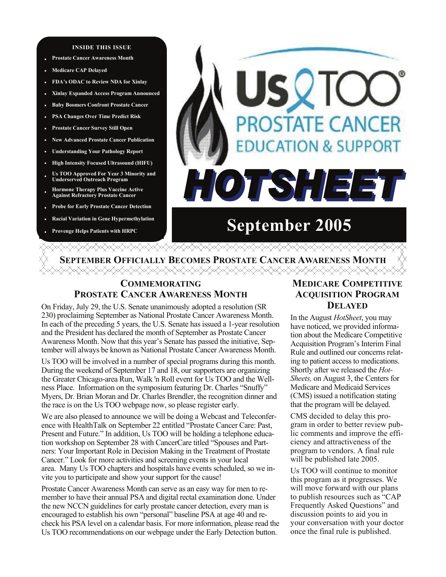### **INSIDE THIS ISSUE**

- **Prostate Cancer Awareness Month**
- **• Medicare CAP Delayed**
- **• FDA's ODAC to Review NDA for Xinlay**
- **• Xinlay Expanded Access Program Announced**
- **• Baby Boomers Confront Prostate Cancer**
- **• PSA Changes Over Time Predict Risk**
- **• Prostate Cancer Survey Still Open**
- **• New Advanced Prostate Cancer Publication**
- **• Understanding Your Pathology Report**
- **• High Intensity Focused Ultrasound (HIFU)**
- **• Us TOO Approved For Year 3 Minority and Underserved Outreach Program**
- **• Hormone Therapy Plus Vaccine Active Against Refractory Prostate Cancer**
- **Probe for Early Prostate Cancer Detection**
- **Racial Variation in Gene Hypermethylation**
- **Provenge Helps Patients with HRPC**

# **ROSTATE CANCER UCATION & SUPPORT** HOTSHEE

# **September 2005**

**SEPTEMBER OFFICIALLY BECOMES PROSTATE CANCER AWARENESS MONTH**

# **COMMEMORATING PROSTATE CANCER AWARENESS MONTH**

On Friday, July 29, the U.S. Senate unanimously adopted a resolution (SR 230) proclaiming September as National Prostate Cancer Awareness Month. In each of the preceding 5 years, the U.S. Senate has issued a 1-year resolution and the President has declared the month of September as Prostate Cancer Awareness Month. Now that this year's Senate has passed the initiative, September will always be known as National Prostate Cancer Awareness Month.

Us TOO will be involved in a number of special programs during this month. During the weekend of September 17 and 18, our supporters are organizing the Greater Chicago-area Run, Walk 'n Roll event for Us TOO and the Wellness Place. Information on the symposium featuring Dr. Charles "Snuffy" Myers, Dr. Brian Moran and Dr. Charles Brendler, the recognition dinner and the race is on the Us TOO webpage now, so please register early.

We are also pleased to announce we will be doing a Webcast and Teleconference with HealthTalk on September 22 entitled "Prostate Cancer Care: Past, Present and Future." In addition, Us TOO will be holding a telephone education workshop on September 28 with CancerCare titled "Spouses and Partners: Your Important Role in Decision Making in the Treatment of Prostate Cancer." Look for more activities and screening events in your local area. Many Us TOO chapters and hospitals have events scheduled, so we invite you to participate and show your support for the cause!

Prostate Cancer Awareness Month can serve as an easy way for men to remember to have their annual PSA and digital rectal examination done. Under the new NCCN guidelines for early prostate cancer detection, every man is encouraged to establish his own "personal" baseline PSA at age 40 and recheck his PSA level on a calendar basis. For more information, please read the Us TOO recommendations on our webpage under the Early Detection button.

# **MEDICARE COMPETITIVE ACQUISITION PROGRAM DELAYED**

In the August *HotSheet*, you may have noticed, we provided information about the Medicare Competitive Acquisition Program's Interim Final Rule and outlined our concerns relating to patient access to medications. Shortly after we released the *Hot-Sheets,* on August 3, the Centers for Medicare and Medicaid Services (CMS) issued a notification stating that the program will be delayed.

CMS decided to delay this program in order to better review public comments and improve the efficiency and attractiveness of the program to vendors. A final rule will be published late 2005.

Us TOO will continue to monitor this program as it progresses. We will move forward with our plans to publish resources such as "CAP Frequently Asked Questions" and discussion points to aid you in your conversation with your doctor once the final rule is published.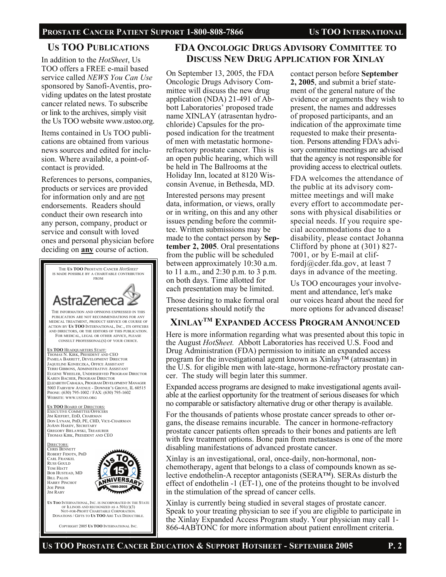# PROSTATE CANCER PATIENT SUPPORT 1-800-808-7866 US TOO INTERNATIONAL

# **US TOO PUBLICATIONS**

In addition to the *HotSheet*, Us TOO offers a FREE e-mail based service called *NEWS You Can Use*  sponsored by Sanofi-Aventis, providing updates on the latest prostate cancer related news. To subscribe or link to the archives, simply visit the Us TOO website www.ustoo.org.

Items contained in Us TOO publications are obtained from various news sources and edited for inclusion. Where available, a point-ofcontact is provided.

References to persons, companies, products or services are provided for information only and are not endorsements. Readers should conduct their own research into any person, company, product or service and consult with loved ones and personal physician before deciding on **any** course of action.



COPYRIGHT 2005 **US TOO** INTERNATIONAL INC.

# **FDA ONCOLOGIC DRUGS ADVISORY COMMITTEE TO DISCUSS NEW DRUG APPLICATION FOR XINLAY**

On September 13, 2005, the FDA Oncologic Drugs Advisory Committee will discuss the new drug application (NDA) 21-491 of Abbott Laboratories' proposed trade name XINLAY (atrasentan hydrochloride) Capsules for the proposed indication for the treatment of men with metastatic hormonerefractory prostate cancer. This is an open public hearing, which will be held in The Ballrooms at the Holiday Inn, located at 8120 Wisconsin Avenue, in Bethesda, MD. Interested persons may present data, information, or views, orally or in writing, on this and any other issues pending before the committee. Written submissions may be made to the contact person by **September 2, 2005**. Oral presentations from the public will be scheduled between approximately 10:30 a.m. to 11 a.m., and 2:30 p.m. to 3 p.m. on both days. Time allotted for each presentation may be limited.

Those desiring to make formal oral presentations should notify the

contact person before **September 2, 2005**, and submit a brief statement of the general nature of the evidence or arguments they wish to present, the names and addresses of proposed participants, and an indication of the approximate time requested to make their presentation. Persons attending FDA's advisory committee meetings are advised that the agency is not responsible for providing access to electrical outlets.

FDA welcomes the attendance of the public at its advisory committee meetings and will make every effort to accommodate persons with physical disabilities or special needs. If you require special accommodations due to a disability, please contact Johanna Clifford by phone at (301) 827- 7001, or by E-mail at cliffordj@cder.fda.gov, at least 7 days in advance of the meeting.

Us TOO encourages your involvement and attendance, let's make our voices heard about the need for more options for advanced disease!

# **XINLAYTM EXPANDED ACCESS PROGRAM ANNOUNCED**

Here is more information regarding what was presented about this topic in the August *HotSheet.* Abbott Laboratories has received U.S. Food and Drug Administration (FDA) permission to initiate an expanded access program for the investigational agent known as Xinlay<sup>TM</sup> (atrasentan) in the U.S. for eligible men with late-stage, hormone-refractory prostate cancer. The study will begin later this summer.

Expanded access programs are designed to make investigational agents available at the earliest opportunity for the treatment of serious diseases for which no comparable or satisfactory alternative drug or other therapy is available.

For the thousands of patients whose prostate cancer spreads to other organs, the disease remains incurable. The cancer in hormone-refractory prostate cancer patients often spreads to their bones and patients are left with few treatment options. Bone pain from metastases is one of the more disabling manifestations of advanced prostate cancer.

Xinlay is an investigational, oral, once-daily, non-hormonal, nonchemotherapy, agent that belongs to a class of compounds known as selective endothelin-A receptor antagonists (SERA™). SERAs disturb the effect of endothelin -1 (ET-1), one of the proteins thought to be involved in the stimulation of the spread of cancer cells.

Xinlay is currently being studied in several stages of prostate cancer. Speak to your treating physician to see if you are eligible to participate in the Xinlay Expanded Access Program study. Your physician may call 1- 866-4ABTONC for more information about patient enrollment criteria.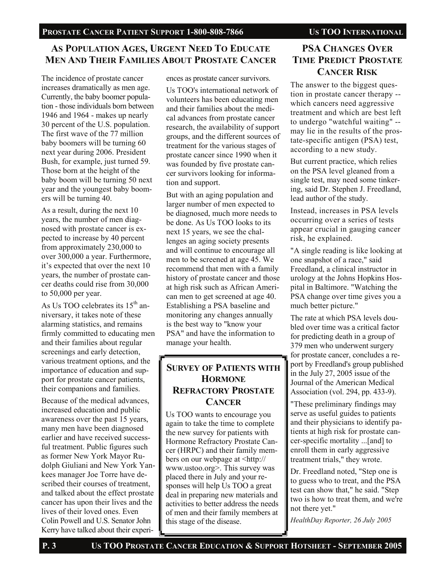# **AS POPULATION AGES, URGENT NEED TO EDUCATE MEN AND THEIR FAMILIES ABOUT PROSTATE CANCER**

The incidence of prostate cancer increases dramatically as men age. Currently, the baby boomer population - those individuals born between 1946 and 1964 - makes up nearly 30 percent of the U.S. population. The first wave of the 77 million baby boomers will be turning 60 next year during 2006. President Bush, for example, just turned 59. Those born at the height of the baby boom will be turning 50 next year and the youngest baby boomers will be turning 40.

As a result, during the next 10 years, the number of men diagnosed with prostate cancer is expected to increase by 40 percent from approximately 230,000 to over 300,000 a year. Furthermore, it's expected that over the next 10 years, the number of prostate cancer deaths could rise from 30,000 to 50,000 per year.

As Us TOO celebrates its  $15<sup>th</sup>$  anniversary, it takes note of these alarming statistics, and remains firmly committed to educating men and their families about regular screenings and early detection, various treatment options, and the importance of education and support for prostate cancer patients, their companions and families.

Because of the medical advances, increased education and public awareness over the past 15 years, many men have been diagnosed earlier and have received successful treatment. Public figures such as former New York Mayor Rudolph Giuliani and New York Yankees manager Joe Torre have described their courses of treatment, and talked about the effect prostate cancer has upon their lives and the lives of their loved ones. Even Colin Powell and U.S. Senator John Kerry have talked about their experiences as prostate cancer survivors.

Us TOO's international network of volunteers has been educating men and their families about the medical advances from prostate cancer research, the availability of support groups, and the different sources of treatment for the various stages of prostate cancer since 1990 when it was founded by five prostate cancer survivors looking for information and support.

But with an aging population and larger number of men expected to be diagnosed, much more needs to be done. As Us TOO looks to its next 15 years, we see the challenges an aging society presents and will continue to encourage all men to be screened at age 45. We recommend that men with a family history of prostate cancer and those at high risk such as African American men to get screened at age 40. Establishing a PSA baseline and monitoring any changes annually is the best way to "know your PSA" and have the information to manage your health.

# **SURVEY OF PATIENTS WITH HORMONE REFRACTORY PROSTATE CANCER**

Us TOO wants to encourage you again to take the time to complete the new survey for patients with Hormone Refractory Prostate Cancer (HRPC) and their family members on our webpage at <http:// www.ustoo.org>. This survey was placed there in July and your responses will help Us TOO a great deal in preparing new materials and activities to better address the needs of men and their family members at this stage of the disease.

# **PSA CHANGES OVER TIME PREDICT PROSTATE CANCER RISK**

The answer to the biggest question in prostate cancer therapy - which cancers need aggressive treatment and which are best left to undergo "watchful waiting" - may lie in the results of the prostate-specific antigen (PSA) test, according to a new study.

But current practice, which relies on the PSA level gleaned from a single test, may need some tinkering, said Dr. Stephen J. Freedland, lead author of the study.

Instead, increases in PSA levels occurring over a series of tests appear crucial in gauging cancer risk, he explained.

"A single reading is like looking at one snapshot of a race," said Freedland, a clinical instructor in urology at the Johns Hopkins Hospital in Baltimore. "Watching the PSA change over time gives you a much better picture."

The rate at which PSA levels doubled over time was a critical factor for predicting death in a group of 379 men who underwent surgery for prostate cancer, concludes a report by Freedland's group published in the July 27, 2005 issue of the Journal of the American Medical Association (vol. 294, pp. 433-9).

"These preliminary findings may serve as useful guides to patients and their physicians to identify patients at high risk for prostate cancer-specific mortality ...[and] to enroll them in early aggressive treatment trials," they wrote.

Dr. Freedland noted, "Step one is to guess who to treat, and the PSA test can show that," he said. "Step two is how to treat them, and we're not there yet."

*HealthDay Reporter, 26 July 2005*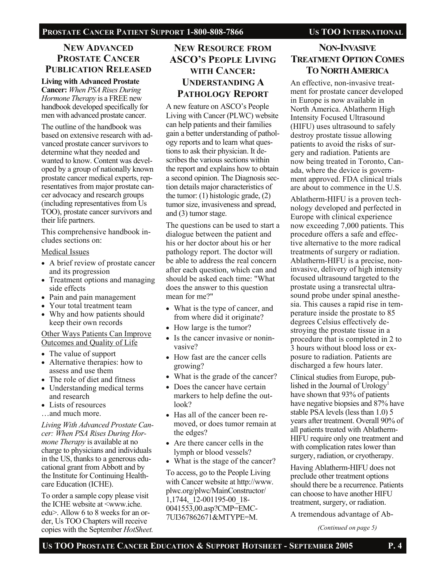# **NEW ADVANCED PROSTATE CANCER PUBLICATION RELEASED**

# **Living with Advanced Prostate**

**Cancer:** *When PSA Rises During Hormone Therapy* is a FREE new handbook developed specifically for men with advanced prostate cancer.

The outline of the handbook was based on extensive research with advanced prostate cancer survivors to determine what they needed and wanted to know. Content was developed by a group of nationally known prostate cancer medical experts, representatives from major prostate cancer advocacy and research groups (including representatives from Us TOO), prostate cancer survivors and their life partners.

This comprehensive handbook includes sections on:

# Medical Issues

- A brief review of prostate cancer and its progression
- Treatment options and managing side effects
- Pain and pain management
- Your total treatment team
- Why and how patients should keep their own records

## Other Ways Patients Can Improve Outcomes and Quality of Life

- The value of support
- Alternative therapies: how to assess and use them
- The role of diet and fitness
- Understanding medical terms and research
- Lists of resources
- …and much more.

*Living With Advanced Prostate Cancer: When PSA Rises During Hormone Therapy* is available at no charge to physicians and individuals in the US, thanks to a generous educational grant from Abbott and by the Institute for Continuing Healthcare Education (ICHE).

To order a sample copy please visit the ICHE website at <www.iche. edu>. Allow 6 to 8 weeks for an order, Us TOO Chapters will receive copies with the September *HotSheet.*

# **NEW RESOURCE FROM ASCO'S PEOPLE LIVING WITH CANCER: UNDERSTANDING A PATHOLOGY REPORT**

A new feature on ASCO's People Living with Cancer (PLWC) website can help patients and their families gain a better understanding of pathology reports and to learn what questions to ask their physician. It describes the various sections within the report and explains how to obtain a second opinion. The Diagnosis section details major characteristics of the tumor:  $(1)$  histologic grade,  $(2)$ tumor size, invasiveness and spread, and (3) tumor stage.

The questions can be used to start a dialogue between the patient and his or her doctor about his or her pathology report. The doctor will be able to address the real concern after each question, which can and should be asked each time: "What does the answer to this question mean for me?"

- What is the type of cancer, and from where did it originate?
- How large is the tumor?
- Is the cancer invasive or noninvasive?
- How fast are the cancer cells growing?
- What is the grade of the cancer?
- Does the cancer have certain markers to help define the outlook?
- Has all of the cancer been removed, or does tumor remain at the edges?
- Are there cancer cells in the lymph or blood vessels?
- What is the stage of the cancer?

To access, go to the People Living with Cancer website at http://www. plwc.org/plwc/MainConstructor/ 1,1744,\_12-001195-00\_18- 0041553,00.asp?CMP=EMC-7UI367862671&MTYPE=M.

# **NON-INVASIVE TREATMENT OPTION COMES TO NORTH AMERICA**

An effective, non-invasive treatment for prostate cancer developed in Europe is now available in North America. Ablatherm High Intensity Focused Ultrasound (HIFU) uses ultrasound to safely destroy prostate tissue allowing patients to avoid the risks of surgery and radiation. Patients are now being treated in Toronto, Canada, where the device is government approved. FDA clinical trials are about to commence in the U.S.

Ablatherm-HIFU is a proven technology developed and perfected in Europe with clinical experience now exceeding 7,000 patients. This procedure offers a safe and effective alternative to the more radical treatments of surgery or radiation. Ablatherm-HIFU is a precise, noninvasive, delivery of high intensity focused ultrasound targeted to the prostate using a transrectal ultrasound probe under spinal anesthesia. This causes a rapid rise in temperature inside the prostate to 85 degrees Celsius effectively destroying the prostate tissue in a procedure that is completed in 2 to 3 hours without blood loss or exposure to radiation. Patients are discharged a few hours later.

Clinical studies from Europe, published in the Journal of  $U$ rology<sup>1</sup> have shown that 93% of patients have negative biopsies and 87% have stable PSA levels (less than 1.0) 5 years after treatment. Overall 90% of all patients treated with Ablatherm-HIFU require only one treatment and with complication rates lower than surgery, radiation, or cryotherapy.

Having Ablatherm-HIFU does not preclude other treatment options should there be a recurrence. Patients can choose to have another HIFU treatment, surgery, or radiation.

A tremendous advantage of Ab-

*(Continued on page 5)*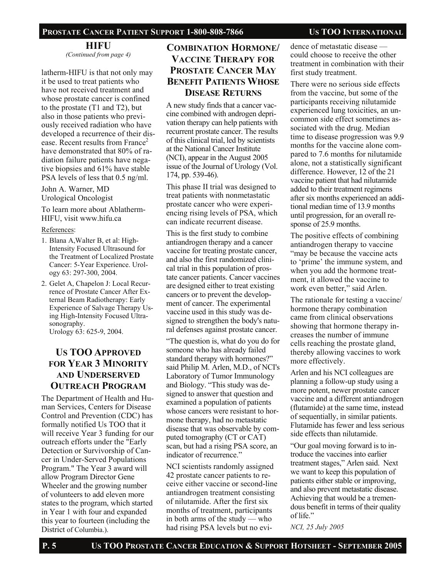# PROSTATE CANCER PATIENT SUPPORT 1-800-808-7866 US TOO INTERNATIONAL

# **HIFU**

*(Continued from page 4)* 

latherm-HIFU is that not only may it be used to treat patients who have not received treatment and whose prostate cancer is confined to the prostate (T1 and T2), but also in those patients who previously received radiation who have developed a recurrence of their disease. Recent results from  $France^2$ have demonstrated that 80% of radiation failure patients have negative biopsies and 61% have stable PSA levels of less that 0.5 ng/ml.

John A. Warner, MD Urological Oncologist

To learn more about Ablatherm-HIFU, visit www.hifu.ca

### References:

- 1. Blana A,Walter B, et al: High-Intensity Focused Ultrasound for the Treatment of Localized Prostate Cancer: 5-Year Experience. Urology 63: 297-300, 2004.
- 2. Gelet A, Chapelon J: Local Recurrence of Prostate Cancer After External Beam Radiotherapy: Early Experience of Salvage Therapy Using High-Intensity Focused Ultrasonography. Urology 63: 625-9, 2004.

# **US TOO APPROVED FOR YEAR 3 MINORITY AND UNDERSERVED OUTREACH PROGRAM**

The Department of Health and Human Services, Centers for Disease Control and Prevention (CDC) has formally notified Us TOO that it will receive Year 3 funding for our outreach efforts under the "Early Detection or Survivorship of Cancer in Under-Served Populations Program." The Year 3 award will allow Program Director Gene Wheeler and the growing number of volunteers to add eleven more states to the program, which started in Year 1 with four and expanded this year to fourteen (including the District of Columbia.).

# **COMBINATION HORMONE/ VACCINE THERAPY FOR PROSTATE CANCER MAY BENEFIT PATIENTS WHOSE DISEASE RETURNS**

A new study finds that a cancer vaccine combined with androgen deprivation therapy can help patients with recurrent prostate cancer. The results of this clinical trial, led by scientists at the National Cancer Institute (NCI), appear in the August 2005 issue of the Journal of Urology (Vol. 174, pp. 539-46).

This phase II trial was designed to treat patients with nonmetastatic prostate cancer who were experiencing rising levels of PSA, which can indicate recurrent disease.

This is the first study to combine antiandrogen therapy and a cancer vaccine for treating prostate cancer, and also the first randomized clinical trial in this population of prostate cancer patients. Cancer vaccines are designed either to treat existing cancers or to prevent the development of cancer. The experimental vaccine used in this study was designed to strengthen the body's natural defenses against prostate cancer.

"The question is, what do you do for someone who has already failed standard therapy with hormones?" said Philip M. Arlen, M.D., of NCI's Laboratory of Tumor Immunology and Biology. "This study was designed to answer that question and examined a population of patients whose cancers were resistant to hormone therapy, had no metastatic disease that was observable by computed tomography (CT or CAT) scan, but had a rising PSA score, an indicator of recurrence."

NCI scientists randomly assigned 42 prostate cancer patients to receive either vaccine or second-line antiandrogen treatment consisting of nilutamide. After the first six months of treatment, participants in both arms of the study — who had rising PSA levels but no evidence of metastatic disease could choose to receive the other treatment in combination with their first study treatment.

There were no serious side effects from the vaccine, but some of the participants receiving nilutamide experienced lung toxicities, an uncommon side effect sometimes associated with the drug. Median time to disease progression was 9.9 months for the vaccine alone compared to 7.6 months for nilutamide alone, not a statistically significant difference. However, 12 of the 21 vaccine patient that had nilutamide added to their treatment regimens after six months experienced an additional median time of 13.9 months until progression, for an overall response of 25.9 months.

The positive effects of combining antiandrogen therapy to vaccine "may be because the vaccine acts to 'prime' the immune system, and when you add the hormone treatment, it allowed the vaccine to work even better," said Arlen.

The rationale for testing a vaccine/ hormone therapy combination came from clinical observations showing that hormone therapy increases the number of immune cells reaching the prostate gland, thereby allowing vaccines to work more effectively.

Arlen and his NCI colleagues are planning a follow-up study using a more potent, newer prostate cancer vaccine and a different antiandrogen (flutamide) at the same time, instead of sequentially, in similar patients. Flutamide has fewer and less serious side effects than nilutamide.

"Our goal moving forward is to introduce the vaccines into earlier treatment stages," Arlen said. Next we want to keep this population of patients either stable or improving, and also prevent metastatic disease. Achieving that would be a tremendous benefit in terms of their quality of life."

*NCI, 25 July 2005*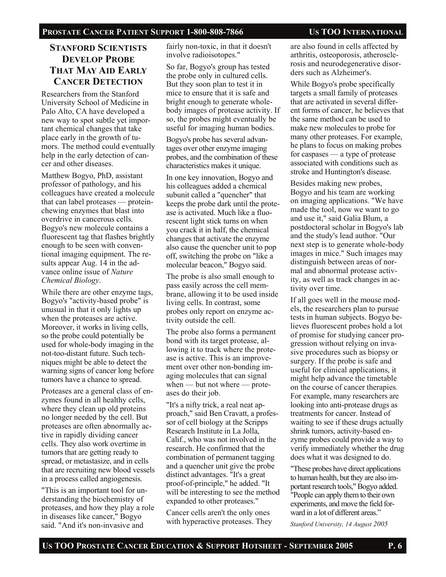# **STANFORD SCIENTISTS DEVELOP PROBE THAT MAY AID EARLY CANCER DETECTION**

Researchers from the Stanford University School of Medicine in Palo Alto, CA have developed a new way to spot subtle yet important chemical changes that take place early in the growth of tumors. The method could eventually help in the early detection of cancer and other diseases.

Matthew Bogyo, PhD, assistant professor of pathology, and his colleagues have created a molecule that can label proteases — proteinchewing enzymes that blast into overdrive in cancerous cells. Bogyo's new molecule contains a fluorescent tag that flashes brightly enough to be seen with conventional imaging equipment. The results appear Aug. 14 in the advance online issue of *Nature Chemical Biology*.

While there are other enzyme tags, Bogyo's "activity-based probe" is unusual in that it only lights up when the proteases are active. Moreover, it works in living cells, so the probe could potentially be used for whole-body imaging in the not-too-distant future. Such techniques might be able to detect the warning signs of cancer long before tumors have a chance to spread.

Proteases are a general class of enzymes found in all healthy cells, where they clean up old proteins no longer needed by the cell. But proteases are often abnormally active in rapidly dividing cancer cells. They also work overtime in tumors that are getting ready to spread, or metastasize, and in cells that are recruiting new blood vessels in a process called angiogenesis.

"This is an important tool for understanding the biochemistry of proteases, and how they play a role in diseases like cancer," Bogyo said. "And it's non-invasive and

fairly non-toxic, in that it doesn't involve radioisotopes."

So far, Bogyo's group has tested the probe only in cultured cells. But they soon plan to test it in mice to ensure that it is safe and bright enough to generate wholebody images of protease activity. If so, the probes might eventually be useful for imaging human bodies.

Bogyo's probe has several advantages over other enzyme imaging probes, and the combination of these characteristics makes it unique.

In one key innovation, Bogyo and his colleagues added a chemical subunit called a "quencher" that keeps the probe dark until the protease is activated. Much like a fluorescent light stick turns on when you crack it in half, the chemical changes that activate the enzyme also cause the quencher unit to pop off, switching the probe on "like a molecular beacon," Bogyo said.

The probe is also small enough to pass easily across the cell membrane, allowing it to be used inside living cells. In contrast, some probes only report on enzyme activity outside the cell.

The probe also forms a permanent bond with its target protease, allowing it to track where the protease is active. This is an improvement over other non-bonding imaging molecules that can signal when — but not where — proteases do their job.

"It's a nifty trick, a real neat approach," said Ben Cravatt, a professor of cell biology at the Scripps Research Institute in La Jolla, Calif., who was not involved in the research. He confirmed that the combination of permanent tagging and a quencher unit give the probe distinct advantages. "It's a great proof-of-principle," he added. "It will be interesting to see the method expanded to other proteases."

Cancer cells aren't the only ones with hyperactive proteases. They are also found in cells affected by arthritis, osteoporosis, atherosclerosis and neurodegenerative disorders such as Alzheimer's.

While Bogyo's probe specifically targets a small family of proteases that are activated in several different forms of cancer, he believes that the same method can be used to make new molecules to probe for many other proteases. For example, he plans to focus on making probes for caspases — a type of protease associated with conditions such as stroke and Huntington's disease.

Besides making new probes, Bogyo and his team are working on imaging applications. "We have made the tool, now we want to go and use it," said Galia Blum, a postdoctoral scholar in Bogyo's lab and the study's lead author. "Our next step is to generate whole-body images in mice." Such images may distinguish between areas of normal and abnormal protease activity, as well as track changes in activity over time.

If all goes well in the mouse models, the researchers plan to pursue tests in human subjects. Bogyo believes fluorescent probes hold a lot of promise for studying cancer progression without relying on invasive procedures such as biopsy or surgery. If the probe is safe and useful for clinical applications, it might help advance the timetable on the course of cancer therapies. For example, many researchers are looking into anti-protease drugs as treatments for cancer. Instead of waiting to see if these drugs actually shrink tumors, activity-based enzyme probes could provide a way to verify immediately whether the drug does what it was designed to do.

"These probes have direct applications to human health, but they are also important research tools," Bogyo added. "People can apply them to their own experiments, and move the field forward in a lot of different areas."

*Stanford University, 14 August 2005*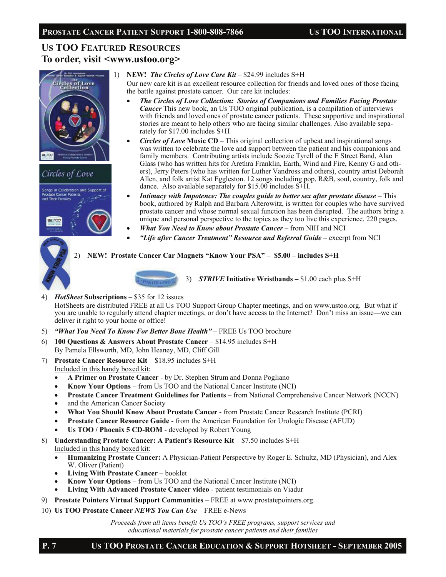# **US TOO FEATURED RESOURCES To order, visit <www.ustoo.org>**





1) **NEW!** *The Circles of Love Care Kit* – \$24.99 includes S+H

Our new care kit is an excellent resource collection for friends and loved ones of those facing the battle against prostate cancer. Our care kit includes:

- *The Circles of Love Collection: Stories of Companions and Families Facing Prostate Cancer* This new book, an Us TOO original publication, is a compilation of interviews with friends and loved ones of prostate cancer patients. These supportive and inspirational stories are meant to help others who are facing similar challenges. Also available separately for \$17.00 includes S+H
- *Circles of Love* **Music CD**This original collection of upbeat and inspirational songs was written to celebrate the love and support between the patient and his companions and family members. Contributing artists include Soozie Tyrell of the E Street Band, Alan Glass (who has written hits for Arethra Franklin, Earth, Wind and Fire, Kenny G and others), Jerry Peters (who has written for Luther Vandross and others), country artist Deborah Allen, and folk artist Kat Eggleston. 12 songs including pop, R&B, soul, country, folk and dance. Also available separately for \$15.00 includes S+H.
- *Intimacy with Impotence: The couples guide to better sex after prostate disease* This book, authored by Ralph and Barbara Alterowitz, is written for couples who have survived prostate cancer and whose normal sexual function has been disrupted. The authors bring a unique and personal perspective to the topics as they too live this experience. 220 pages.
- *What You Need to Know about Prostate Cancer* from NIH and NCI
- *"Life after Cancer Treatment" Resource and Referral Guide* excerpt from NCI

# 2) **NEW! Prostate Cancer Car Magnets "Know Your PSA" – \$5.00 – includes S+H**



3) *STRIVE* **Initiative Wristbands –** \$1.00 each plus S+H

4) *HotSheet* **Subscriptions** – \$35 for 12 issues

HotSheets are distributed FREE at all Us TOO Support Group Chapter meetings, and on www.ustoo.org. But what if you are unable to regularly attend chapter meetings, or don't have access to the Internet? Don't miss an issue—we can deliver it right to your home or office!

- 5) *"What You Need To Know For Better Bone Health"* FREE Us TOO brochure
- 6) **100 Questions & Answers About Prostate Cancer**  \$14.95 includes S+H By Pamela Ellsworth, MD, John Heaney, MD, Cliff Gill
- 7) **Prostate Cancer Resource Kit \$18.95 includes S+H** Included in this handy boxed kit:
	- **A Primer on Prostate Cancer**  by Dr. Stephen Strum and Donna Pogliano
	- **Know Your Options**  from Us TOO and the National Cancer Institute (NCI)
	- **Prostate Cancer Treatment Guidelines for Patients**  from National Comprehensive Cancer Network (NCCN)
	- and the American Cancer Society
	- **What You Should Know About Prostate Cancer**  from Prostate Cancer Research Institute (PCRI)
	- **Prostate Cancer Resource Guide**  from the American Foundation for Urologic Disease (AFUD)
	- **Us TOO / Phoenix 5 CD-ROM**  developed by Robert Young
- 8) **Understanding Prostate Cancer: A Patient's Resource Kit \$7.50 includes S+H** Included in this handy boxed kit:
	- **Humanizing Prostate Cancer:** A Physician-Patient Perspective by Roger E. Schultz, MD (Physician), and Alex W. Oliver (Patient)
	- **Living With Prostate Cancer**  booklet
	- **Know Your Options**  from Us TOO and the National Cancer Institute (NCI)
	- **Living With Advanced Prostate Cancer video**  patient testimonials on Viadur
- 9) **Prostate Pointers Virtual Support Communities**  FREE at www.prostatepointers.org.
- 10) **Us TOO Prostate Cancer** *NEWS You Can Use* FREE e-News

*Proceeds from all items benefit Us TOO's FREE programs, support services and educational materials for prostate cancer patients and their families*